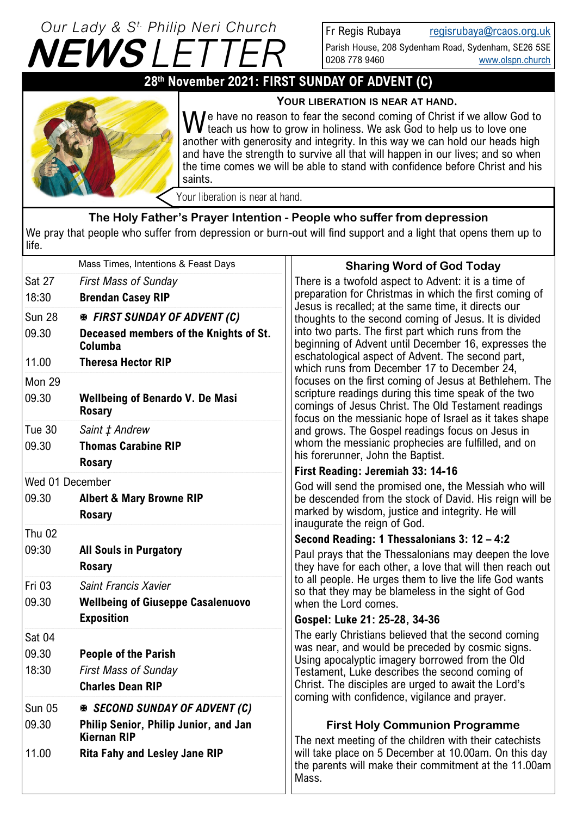# $\boldsymbol{N} E\boldsymbol{W}\boldsymbol{S}$   $\boldsymbol{\bot}$ *Our Lady & S t. Philip Neri Church*

Fr Regis Rubaya [regisrubaya@rcaos.org.uk](mailto:regisrubaya@rcaos.org.uk)

Parish House, 208 Sydenham Road, Sydenham, SE26 5SE 0208 778 9460 [www.olspn.church](http://www.olspn.church)

# **28th November 2021: FIRST SUNDAY OF ADVENT (C)**



**YOUR LIBERATION IS NEAR AT HAND.**

We have no reason to fear the second coming of Christ if we allow God to teach us how to grow in holiness. We ask God to help us to love one I teach us how to grow in holiness. We ask God to help us to love one another with generosity and integrity. In this way we can hold our heads high and have the strength to survive all that will happen in our lives; and so when the time comes we will be able to stand with confidence before Christ and his saints.

Your liberation is near at hand.

## **The Holy Father's Prayer Intention - People who suffer from depression**

We pray that people who suffer from depression or burn-out will find support and a light that opens them up to life.

|                 | Mass Times, Intentions & Feast Days                         | <b>Sharing Word of God Today</b>                                                                                                                                                                                           |  |
|-----------------|-------------------------------------------------------------|----------------------------------------------------------------------------------------------------------------------------------------------------------------------------------------------------------------------------|--|
| Sat 27          | <b>First Mass of Sunday</b>                                 | There is a twofold aspect to Advent: it is a time of<br>preparation for Christmas in which the first coming of                                                                                                             |  |
| 18:30           | <b>Brendan Casey RIP</b>                                    | Jesus is recalled; at the same time, it directs our                                                                                                                                                                        |  |
| <b>Sun 28</b>   | <b>EX FIRST SUNDAY OF ADVENT (C)</b>                        | thoughts to the second coming of Jesus. It is divided                                                                                                                                                                      |  |
| 09.30           | Deceased members of the Knights of St.<br>Columba           | into two parts. The first part which runs from the<br>beginning of Advent until December 16, expresses the                                                                                                                 |  |
| 11.00           | <b>Theresa Hector RIP</b>                                   | eschatological aspect of Advent. The second part,<br>which runs from December 17 to December 24,                                                                                                                           |  |
| Mon 29          |                                                             | focuses on the first coming of Jesus at Bethlehem. The                                                                                                                                                                     |  |
| 09.30           | <b>Wellbeing of Benardo V. De Masi</b><br><b>Rosary</b>     | scripture readings during this time speak of the two<br>comings of Jesus Christ. The Old Testament readings<br>focus on the messianic hope of Israel as it takes shape<br>and grows. The Gospel readings focus on Jesus in |  |
| Tue 30          | Saint ‡ Andrew                                              |                                                                                                                                                                                                                            |  |
| 09.30           | <b>Thomas Carabine RIP</b>                                  | whom the messianic prophecies are fulfilled, and on                                                                                                                                                                        |  |
|                 | <b>Rosary</b>                                               | his forerunner, John the Baptist.<br>First Reading: Jeremiah 33: 14-16                                                                                                                                                     |  |
| Wed 01 December |                                                             | God will send the promised one, the Messiah who will                                                                                                                                                                       |  |
| 09.30           | <b>Albert &amp; Mary Browne RIP</b>                         | be descended from the stock of David. His reign will be                                                                                                                                                                    |  |
|                 | <b>Rosary</b>                                               | marked by wisdom, justice and integrity. He will<br>inaugurate the reign of God.                                                                                                                                           |  |
| <b>Thu 02</b>   |                                                             | Second Reading: 1 Thessalonians 3: 12 - 4:2                                                                                                                                                                                |  |
| 09:30           | <b>All Souls in Purgatory</b><br><b>Rosary</b>              | Paul prays that the Thessalonians may deepen the love<br>they have for each other, a love that will then reach out                                                                                                         |  |
| Fri 03          | Saint Francis Xavier                                        | to all people. He urges them to live the life God wants<br>so that they may be blameless in the sight of God                                                                                                               |  |
| 09.30           | <b>Wellbeing of Giuseppe Casalenuovo</b>                    | when the Lord comes.                                                                                                                                                                                                       |  |
|                 | <b>Exposition</b>                                           | Gospel: Luke 21: 25-28, 34-36                                                                                                                                                                                              |  |
| Sat 04          |                                                             | The early Christians believed that the second coming                                                                                                                                                                       |  |
| 09.30           | <b>People of the Parish</b>                                 | was near, and would be preceded by cosmic signs.<br>Using apocalyptic imagery borrowed from the Old                                                                                                                        |  |
| 18:30           | <b>First Mass of Sunday</b>                                 | Testament, Luke describes the second coming of                                                                                                                                                                             |  |
|                 | <b>Charles Dean RIP</b>                                     | Christ. The disciples are urged to await the Lord's<br>coming with confidence, vigilance and prayer.                                                                                                                       |  |
| <b>Sun 05</b>   | <b>※ SECOND SUNDAY OF ADVENT (C)</b>                        |                                                                                                                                                                                                                            |  |
| 09.30           | Philip Senior, Philip Junior, and Jan<br><b>Kiernan RIP</b> | <b>First Holy Communion Programme</b><br>The next meeting of the children with their catechists                                                                                                                            |  |
| 11.00           | <b>Rita Fahy and Lesley Jane RIP</b>                        | will take place on 5 December at 10.00am. On this day<br>the parents will make their commitment at the 11.00am<br>Mass.                                                                                                    |  |